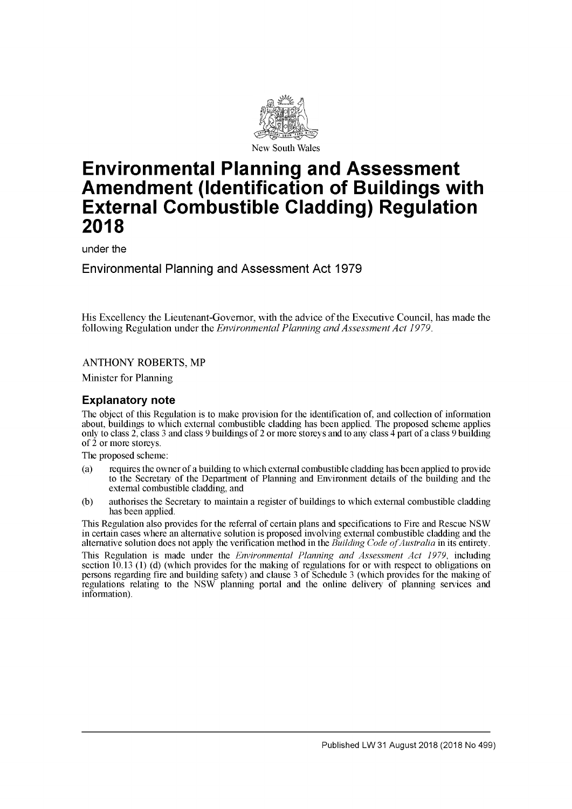

# **Environmental Planning and Assessment Amendment (Identification of Buildings with External Combustible Cladding) Regulation 2018**

under the

Environmental Planning and Assessment Act 1979

His Excellency the Lieutenant-Governor, with the advice of the Executive Council, has made the following Regulation under the *Environmental Planning and Assessment Act 1979*.

**ANTHONY ROBERTS, MP** 

Minister for Planning

## **Explanatory note**

The object of this Regulation is to make provision for the identification of, and collection of information about, buildings to which external combustible cladding has been applied. The proposed scheme applies only to class 2, class 3 and class 9 buildings of 2 or more storeys and to any class  $\hat{4}$  part of a class 9 building of 2 or more storeys.

The proposed scheme:

- (a) requires the owner of a building to which external combustible cladding has been applied to provide to the Secretary of the Department of Planning and Environment details of the building and the external combustible cladding, and
- (b) authorises the Secretary to maintain a register of buildings to which external combustible cladding has been applied.

This Regulation also provides for the referral of certain plans and specifications to Fire and Rescue NSW in certain cases where an alternative solution is proposed involving external combustible cladding and the alternative solution does not apply the verification method in the *Building Code of Australia* in its entirety.

This Regulation is made under the *Environmental Planning and Assessment Act 1979*, including section 10.13 (1) (d) (which provides for the making of regulations for or with respect to obligations on persons regarding fire and building safety) and clause 3 of Schedule 3 (which provides for the making of regulations relating to the NSW planning portal and the online delivery of planning services and information).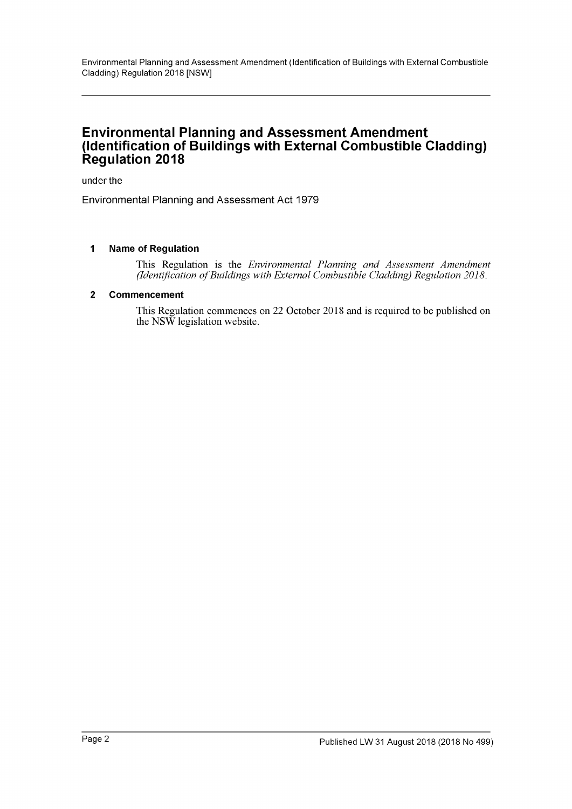Environmental Planning and Assessment Amendment (Identification of Buildings with External Combustible Cladding) Regulation 2018 [NSW]

# **Environmental Planning and Assessment Amendment (Identification of Buildings with External Combustible Cladding) Regulation 2018**

under the

Environmental Planning and Assessment Act 1979

#### **1 Name of Regulation**

This Regulation is the *Environmental Planning and Assessment Amendment (Identification of Buildings with External Combustible Cladding) Regulation 2018*.

#### **2 Commencement**

This Regulation commences on 22 October 2018 and is required to be published on the NSW legislation website.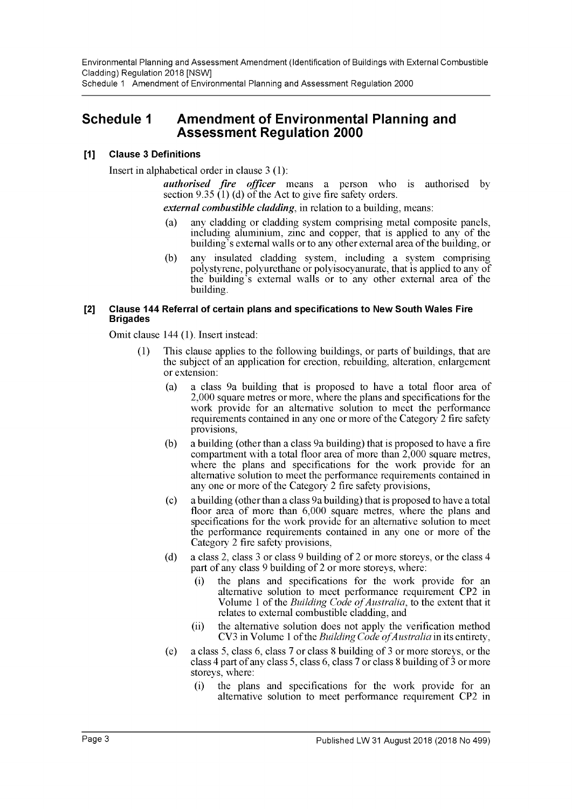Environmental Planning and Assessment Amendment (Identification of Buildings with External Combustible Cladding) Regulation 2018 [NSW] Schedule 1 Amendment of Environmental Planning and Assessment Regulation 2000

# **Schedule 1 Amendment of Environmental Planning and Assessment Regulation 2000**

#### **[1] Clause 3 Definitions**

Insert in alphabetical order in clause 3 (1):

*authorised fire officer* means a person who is authorised by section 9.35 (1) (d) of the Act to give fire safety orders.

*external combustible cladding*, in relation to a building, means:

- (a) any cladding or cladding system comprising metal composite panels, including aluminium, zinc and copper, that is applied to any of the building's external walls or to any other external area of the building, or
- (b) any insulated cladding system, including a system comprising polystyrene, polyurethane or polyisocyanurate, that is applied to any of the building's external walls or to any other external area of the building.

#### **[2] Clause 144 Referral of certain plans and specifications to New South Wales Fire Brigades**

Omit clause 144 (1). Insert instead:

- (1) This clause applies to the following buildings, or parts of buildings, that are the subject of an application for erection, rebuilding, alteration, enlargement or extension:
	- (a) a class 9a building that is proposed to have a total floor area of 2,000 square metres or more, where the plans and specifications for the work provide for an alternative solution to meet the performance requirements contained in any one or more of the Category 2 fire safety provisions,
	- (b) a building (other than a class 9a building) that is proposed to have a fire compartment with a total floor area of more than 2,000 square metres, where the plans and specifications for the work provide for an alternative solution to meet the performance requirements contained in any one or more of the Category 2 fire safety provisions,
	- (c) a building (other than a class 9a building) that is proposed to have a total floor area of more than 6,000 square metres, where the plans and specifications for the work provide for an alternative solution to meet the performance requirements contained in any one or more of the Category 2 fire safety provisions,
	- (d) a class 2, class 3 or class 9 building of 2 or more storeys, or the class 4 part of any class 9 building of 2 or more storeys, where:
		- (i) the plans and specifications for the work provide for an alternative solution to meet performance requirement CP2 in Volume 1 of the *Building Code of Australia*, to the extent that it relates to external combustible cladding, and
		- (ii) the alternative solution does not apply the verification method CV3 in Volume 1 of the *Building Code of Australia* in its entirety,
	- (e) a class 5, class 6, class 7 or class 8 building of 3 or more storeys, or the class 4 part of any class 5, class 6, class 7 or class 8 building of  $\frac{3}{5}$  or more storeys, where:
		- (i) the plans and specifications for the work provide for an alternative solution to meet performance requirement CP2 in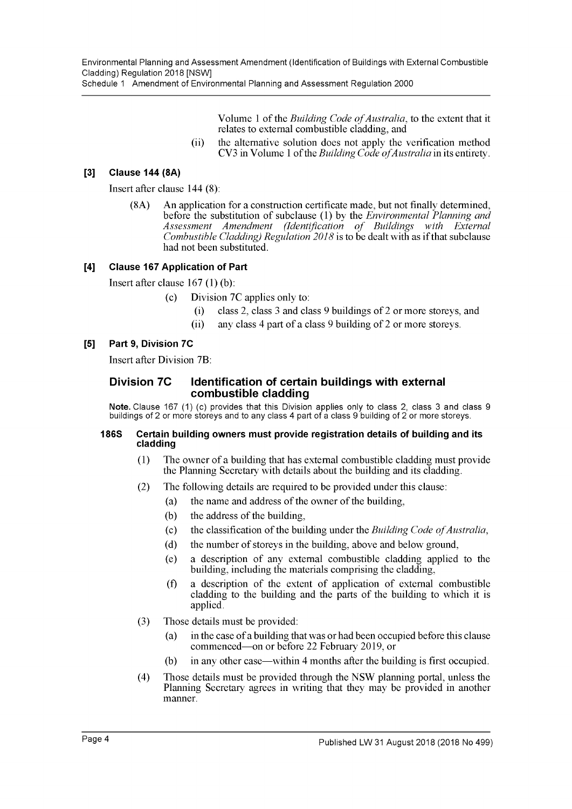Schedule 1 Amendment of Environmental Planning and Assessment Regulation 2000

Volume 1 of the *Building Code of Australia*, to the extent that it relates to external combustible cladding, and

(ii) the alternative solution does not apply the verification method CV3 in Volume 1 of the *Building Code of Australia* in its entirety.

#### **[3] Clause 144 (8A)**

Insert after clause 144 (8):

(8A) An application for a construction certificate made, but not finally determined, before the substitution of subclause (1) by the *Environmental Planning and* Assessment Amendment (Identification of Buildings with External *Combustible Cladding) Regulation* 2018 is to be dealt with as if that subclause had not been substituted.

#### **[4] Clause 167 Application of Part**

Insert after clause 167 (1) (b):

- (c) Division 7C applies only to:
	- (i) class 2, class 3 and class 9 buildings of 2 or more storeys, and
	- (ii) any class 4 part of a class 9 building of 2 or more storeys.

## **[5] Part 9, Division 7C**

Insert after Division 7B:

#### **Division 7C Identification of certain buildings with external combustible cladding**

**Note.** Clause 167 (1) (c) provides that this Division applies only to class 2, class 3 and class 9 buildings of 2 or more storeys and to any class 4 part of a class 9 building of 2 or more storeys.

#### **186S Certain building owners must provide registration details of building and its cladding**

- (1) The owner of a building that has external combustible cladding must provide the Planning Secretary with details about the building and its cladding.
- (2) The following details are required to be provided under this clause:
	- (a) the name and address of the owner of the building,
		- (b) the address of the building,
		- (c) the classification of the building under the *Building Code of Australia*,
		- (d) the number of storeys in the building, above and below ground,
		- (e) a description of any external combustible cladding applied to the building, including the materials comprising the cladding,
		- (f) a description of the extent of application of external combustible cladding to the building and the parts of the building to which it is applied.
- (3) Those details must be provided:
	- (a) in the case of a building that was or had been occupied before this clause commenced—on or before 22 February 2019, or
	- (b) in any other case—within 4 months after the building is first occupied.
- (4) Those details must be provided through the NSW planning portal, unless the Planning Secretary agrees in writing that they may be provided in another manner.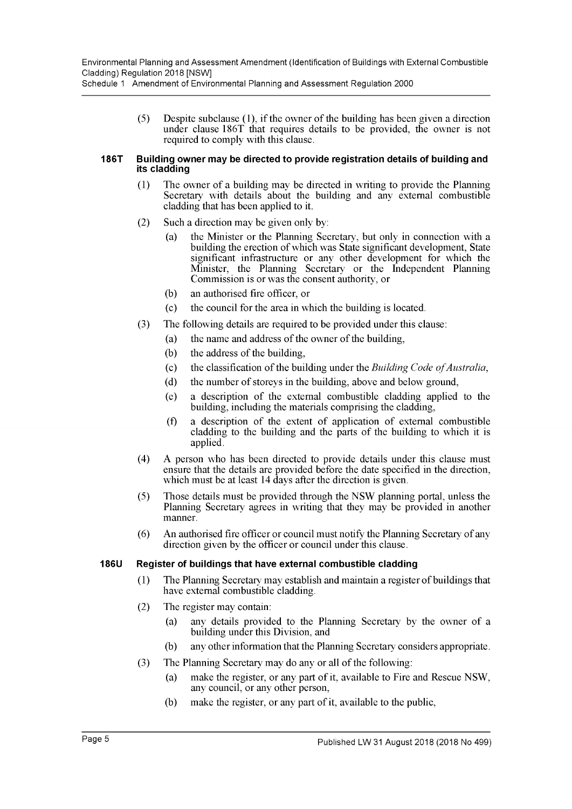Schedule 1 Amendment of Environmental Planning and Assessment Regulation 2000

(5) Despite subclause (1), if the owner of the building has been given a direction under clause 186T that requires details to be provided, the owner is not required to comply with this clause.

#### **186T Building owner may be directed to provide registration details of building and its cladding**

- (1) The owner of a building may be directed in writing to provide the Planning Secretary with details about the building and any external combustible cladding that has been applied to it.
- (2) Such a direction may be given only by:
	- (a) the Minister or the Planning Secretary, but only in connection with a building the erection of which was State significant development, State significant infrastructure or any other development for which the Minister, the Planning Secretary or the Independent Planning Commission is or was the consent authority, or
	- (b) an authorised fire officer, or
	- (c) the council for the area in which the building is located.
- (3) The following details are required to be provided under this clause:
	- (a) the name and address of the owner of the building,
	- (b) the address of the building,
	- (c) the classification of the building under the *Building Code of Australia*,
	- (d) the number of storeys in the building, above and below ground,
	- (e) a description of the external combustible cladding applied to the building, including the materials comprising the cladding,
	- (f) a description of the extent of application of external combustible cladding to the building and the parts of the building to which it is applied.
- (4) A person who has been directed to provide details under this clause must ensure that the details are provided before the date specified in the direction, which must be at least 14 days after the direction is given.
- (5) Those details must be provided through the NSW planning portal, unless the Planning Secretary agrees in writing that they may be provided in another manner.
- (6) An authorised fire officer or council must notify the Planning Secretary of any direction given by the officer or council under this clause.

## **186U Register of buildings that have external combustible cladding**

- (1) The Planning Secretary may establish and maintain a register of buildings that have external combustible cladding.
- (2) The register may contain:
	- (a) any details provided to the Planning Secretary by the owner of a building under this Division, and
	- (b) any other information that the Planning Secretary considers appropriate.
- (3) The Planning Secretary may do any or all of the following:
	- (a) make the register, or any part of it, available to Fire and Rescue NSW, any council, or any other person,
	- (b) make the register, or any part of it, available to the public,